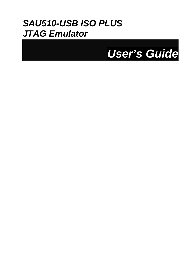# *SAU510-USB ISO PLUS JTAG Emulator*

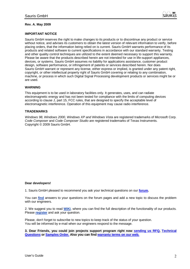**Book** SAURIS

#### **Rev. A. May 2009**

#### **IMPORTANT NOTICE**

Sauris GmbH reserves the right to make changes to its products or to discontinue any product or service without notice, and advises its customers to obtain the latest version of relevant information to verify, before placing orders, that the information being relied on is current. Sauris GmbH warrants performance of its products and related software to current specifications in accordance with our standard warranty. Testing and other quality control techniques are utilized to the extent deemed necessary to support this warranty. Please be aware that the products described herein are not intended for use in life-support appliances, devices, or systems. Sauris GmbH assumes no liability for applications assistance, customer product design, software performance, or infringement of patents or services described herein. Nor does Sauris GmbH warrant or represent any license, either express or implied, is granted under any patent right, copyright, or other intellectual property right of Sauris GmbH covering or relating to any combination, machine, or process in which such Digital Signal Processing development products or services might be or are used.

#### **WARNING**

This equipment is to be used in laboratory facilities only. It generates, uses, and can radiate electromagnetic energy and has not been tested for compliance with the limits of computing devices according to clause J, part 15, FCC rules, that are designed to specify the acceptable level of electromagnetic interference. Operation of this equipment may cause radio interference.

#### **TRADEMARKS**

*Windows 98*, *Windows 2000*, *Windows XP and Windows Vista* are registered trademarks of Microsoft Corp. *Code Composer* and *Code Composer Studio* are registered trademarks of Texas Instruments. Copyright © 2009 Sauris GmbH.

#### **Dear developers!**

1. Sauris GmbH pleased to recommend you ask your technical questions on our **[forum.](http://sauris.de/forum/)**

You can **[find](http://sauris.de/forum/search/)** answers to your questions on the forum pages and add a new topic to discuss the problem with our engineers.

2. We suggest you to read **[WiKi](http://sauris.de/wiki/)**, where you can find the full description of the functionality of our products. Please **[register](http://sauris.de/login/)** and ask your question.

Please, don't forget to subscribe to new topics to keep track of the status of your question. You will be informed by e-mail when our engineers respond to the message.

**3. Dear Friends, you could join projects support program right now [sending](http://sauris.de/services/place_an_order/) us RFQ, Technical [Questions or Samples Order.](http://sauris.de/forum/) Also you can find [warranty](http://sauris.de/company/warranty/) terms on our web.**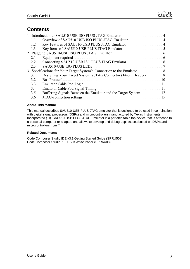# **Contents**

| 1.1 |  |
|-----|--|
| 1.2 |  |
| 1.3 |  |
|     |  |
| 2.1 |  |
| 2.2 |  |
| 2.3 |  |
|     |  |
| 3.1 |  |
| 3.2 |  |
| 3.3 |  |
| 3.4 |  |
| 3.5 |  |
| 3.6 |  |

#### **About This Manual**

This manual describes SAU510-USB PLUS JTAG emulator that is designed to be used in combination with digital signal processors (DSPs) and microcontrollers manufactured by Texas Instruments Incorporated (TI). SAU510-USB PLUS JTAG Emulator is a portable table top device that is attached to a personal computer or a laptop and allows to develop and debug applications based on DSPs and microcontrollers from TI.

#### **Related Documents**

Code Composer Studio IDE v3.1 Getting Started Guide (SPRU509) Code Composer Studio™ IDE v.3 White Paper (SPRAA08)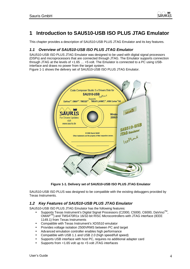

# **1 Introduction to SAU510-USB ISO PLUS JTAG Emulator**

This chapter provides a description of SAU510-USB PLUS JTAG Emulator and its key features.

### *1.1 Overview of SAU510-USB ISO PLUS JTAG Emulator*

SAU510-USB ISO PLUS JTAG Emulator was designed to be used with digital signal processors (DSPs) and microprocessors that are connected through JTAG. The Emulator supports connection through JTAG at the levels of +1.65 … +5 volt. The Emulator is connected to a PC using USBinterface and draws no power from the target system.

Figure 1-1 shows the delivery set of SAU510-USB ISO PLUS JTAG Emulator.



**Figure 1-1. Delivery set of SAU510-USB ISO PLUS JTAG Emulator** 

SAU510-USB ISO PLUS was designed to be compatible with the existing debuggers provided by Texas Instruments.

### *1.2 Key Features of SAU510-USB PLUS JTAG Emulator*

SAU510-USB ISO PLUS JTAG Emulator has the following features:

- Supports Texas Instrument's Digital Signal Processors (C2000, C5000, C6000, DaVinci $\mathbb{M}$ , OMAPTM) and TMS470R1x 16/32-bit RISC Microcontrollers with JTAG interface (IEEE 1149.1) from Texas Instruments
- Compatible with Texas Instrument's XDS510 emulator
- Provides voltage isolation 2500VRMS between PC and target
- Advanced emulation controller enables high performance
- Compatible with USB 1.1 and USB 2.0 (high speed/full speed)
- Supports USB interface with host PC, requires no additional adapter card
- Supports from +1.65 volt up to +5 volt JTAG interfaces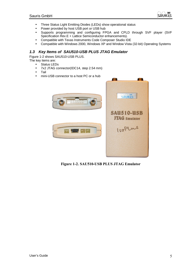

- Three Status Light Emitting Diodes (LEDs) show operational status
- Power provided by host USB port or USB hub
- Supports programming and configuring FPGA and CPLD through SVF player (SVF Specification Rev.E + Lattice Semiconductor enhancements).
- Compatible with Texas Instruments Code Composer Studio IDE
- Compatible with Windows 2000, Windows XP and Window Vista (32-bit) Operating Systems

### *1.3 Key Items of SAU510-USB PLUS JTAG Emulator*

Figure 1-2 shows SAU510-USB PLUS.

- The key items are: • Status LEDs
	-
	- 7x2 JTAG connector(IDC14, step 2.54 mm)
	- Tail
	- mini-USB connector to a host PC or a hub



**Figure 1-2. SAU510-USB PLUS JTAG Emulator**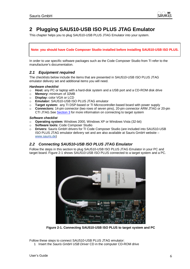# **2 Plugging SAU510-USB ISO PLUS JTAG Emulator**

This chapter helps you to plug SAU510-USB PLUS JTAG Emulator into your system.

#### **Note: you should have Code Composer Studio installed before installing SAU510-USB ISO PLUS.**

In order to use specific software packages such as the Code Composer Studio from TI refer to the manufacturer's documentation.

#### *2.1 Equipment required*

The checklists below include the items that are presented in SAU510-USB ISO PLUS JTAG emulator delivery set and additional items you will need.

#### *Hardware checklist*

- o **Host:** any PC or laptop with a hard-disk system and a USB port and a CD-ROM disk drive
- o **Memory:** minimum of 32MB
- o **Display:** color VGA or LCD
- o **Emulator:** SAU510-USB ISO PLUS JTAG emulator
- o **Target system:** any TI DSP-based or TI Microcontroller-based board with power supply
- o **Connectors:** 14-pin connector (two rows of seven pins), 20-pin connector ARM JTAG or 20-pin CTI JTAG. See **Section 3** for more information on connecting to target system

#### *Software checklist*

- o **Operating system:** Windows 2000, Windows XP or Windows Vista (32-bit)
- o **Software tools:** Code Composer Studio
- o **Drivers:** Sauris GmbH drivers for TI Code Composer Studio (are included into SAU510-USB ISO PLUS JTAG emulator delivery set and are also available at Sauris GmbH website – [www.sauris.de\)](http://www.sauris.de)

### *2.2 Connecting SAU510-USB ISO PLUS JTAG Emulator*

Follow the steps in this section to plug SAU510-USB ISO PLUS JTAG Emulator in your PC and target board. Figure 2-1 shows SAU510-USB ISO PLUS connected to a target system and a PC.



**Figure 2-1. Connecting SAU510-USB ISO PLUS to target system and PC** 

Follow these steps to connect SAU510-USB PLUS JTAG emulator:

1 Insert the *Sauris GmbH USB Driver* CD in the computer CD-ROM drive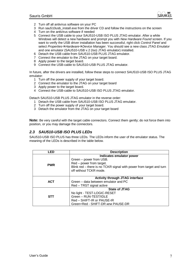

- 2 Turn off all antivirus software on your PC
- 3 Run sau510usb install.exe from the driver CD and follow the instructions on the screen
- 4 Turn on the antivirus software if needed
- 5 Connect the USB cable to your SAU510-USB ISO PLUS JTAG emulator. After a while Windows will detect a new hardware and prompt you with *New Hardware Found* screen. If you want to verify the USB driver installation has been successful, right click *Control Panel* and select *Properties*‡*Hardware*‡*Device Manager*. You should see a new class *JTAG Emulator* and one emulator (SAU510-USB v.2 (Iso) JTAG emulator) installed.
- 6 Detach the USB cable from SAU510-USB PLUS JTAG emulator.
- 7 Connect the emulator to the JTAG on your target board.
- 8 Apply power to the target board.
- 9 Connect the USB-cable to SAU510-USB PLUS JTAG emulator.

In future, after the drivers are installed, follow these steps to connect SAU510-USB ISO PLUS JTAG emulator:

- 1 Turn off the power supply of your target board.
- 2 Connect the emulator to the JTAG on your target board
- 3 Apply power to the target board.
- 4 Connect the USB-cable to SAU510-USB ISO PLUS JTAG emulator.

Detach SAU510-USB PLUS JTAG emulator in the reverse order:

- 1 Detach the USB cable from SAU510-USB ISO PLUS JTAG emulator.
- 2 Turn off the power supply of your target board.
- 3 Detach the emulator from the JTAG on your target board

**Note:** Be very careful with the target cable connectors. Connect them gently; do not force them into position, or you may damage the connectors.

### *2.3 SAU510-USB ISO PLUS LEDs*

SAU510-USB ISO PLUS has three LEDs. The LEDs inform the user of the emulator status. The meaning of the LEDs is described in the table below.

| LED        | <b>Description</b>                                                                                                                                                               |
|------------|----------------------------------------------------------------------------------------------------------------------------------------------------------------------------------|
| <b>PWR</b> | Indicates emulator power<br>Green – power from USB.<br>Red - power from target.<br>Blink red - there is no TCKR signal with power from target and turn<br>off without TCKR mode. |
| <b>ACT</b> | <b>Activity through JTAG interface</b><br>Green - data between emulator and PC<br>Red – TRST signal active                                                                       |
| STT        | <b>State of JTAG</b><br>No light - TEST-LOGIC-RESET<br>Green - RUN-TEST/IDLE<br>Red - SHIFT-IR or PAUSE-IR<br>Green+Red - SHIFT-DR или PAUSE-DR                                  |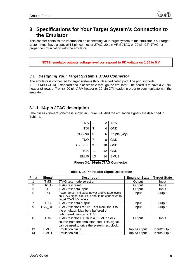

## **3 Specifications for Your Target System's Connection to the Emulator**

This chapter contains the information on connecting your target system to the emulator. Your target system must have a special 14-pin connector JTAG, 20-pin ARM JTAG or 20-pin CTI JTAG for proper communication with the emulator.

**NOTE: emulator outputs voltage level correspond to PD voltage on 1.65 to 5 V** 

### *3.1 Designing Your Target System's JTAG Connector*

The emulator is connected to target systems through a dedicated port. The port supports IEEE 1149.1 (JTAG) standard and is accessible through the emulator. The board is to have a 20-pin header (2 rows of 7 pins), 20-pin ARM header or 20-pin CTI header in order to communicate with the emulator.

### **3.1.1 14-pin JTAG description**

 The pin assignment scheme is shown in Figure 3-1. And the emulation signals are described in Table 1.

| <b>TMS</b>     |    | 2  | TRST-        |
|----------------|----|----|--------------|
| TDI            | 3  |    | <b>GND</b>   |
| PD(Vcc)        | 5  | 6  | No pin (key) |
| <b>TDO</b>     |    | 8  | <b>GND</b>   |
| <b>TCK_RET</b> | 9  | 10 | <b>GND</b>   |
| <b>TCK</b>     | 11 | 12 | <b>GND</b>   |
| <b>EMU0</b>    | 13 | 14 | EMU1         |
|                |    |    |              |

**Figure 3-1. 14-pin JTAG Connector** 

| Table 1. 14-Pin Header Signal Description |  |  |
|-------------------------------------------|--|--|
|-------------------------------------------|--|--|

| Pin# | <b>Signal</b> | <b>Description</b>                                                                                                                  | <b>Emulator State</b> | <b>Target State</b> |
|------|---------------|-------------------------------------------------------------------------------------------------------------------------------------|-----------------------|---------------------|
|      | <b>TMS</b>    | JTAG test mode selection                                                                                                            | Output                | Input               |
| 2    | TRST-         | JTAG test reset                                                                                                                     | Output                | Input               |
| 3    | TDI           | JTAG test data input.                                                                                                               | Output                | Input               |
| 5    | <b>PD</b>     | Power detect. Indicates power and voltage levels<br>on JTAG signal circuits. It should be connected to<br>target JTAG I/O buffers.  | Input                 | Output              |
| 7    | TDO           | JTAG test data output.                                                                                                              | Input                 | Output              |
| 9    | TCK_RET       | JTAG test clock return. Test clock input to<br>the emulator. May be a buffered or<br>unbuffered version of TCK.                     | Input                 | Output              |
| 11   | <b>TCK</b>    | JTAG test clock. TCK is a 12-MHz clock<br>source from the emulation pod. This signal<br>can be used to drive the system test clock. | Output                | Input               |
| 13   | EMU0          | Emulation pin 0.                                                                                                                    | Input/Output          | Input/Output        |
| 14   | EMU1          | Emulation pin 1.                                                                                                                    | Input/Output          | Input/Output        |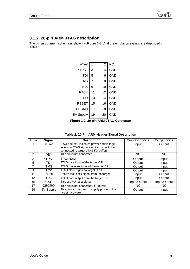

### **3.1.2 20-pin ARM JTAG description**

The pin assignment scheme is shown in Figure 3-2. And the emulation signals are described in Table 2.

| VTref        |                | 2  | ΝC         |
|--------------|----------------|----|------------|
| nTRST        | 3              | 4  | GND        |
| TDI          | 5              | 6  | GND        |
| <b>TMS</b>   | $\overline{7}$ | 8  | GND        |
| <b>TCK</b>   | 9              | 10 | <b>GND</b> |
| <b>RTCK</b>  | 11             | 12 | GND        |
| <b>TDO</b>   | 13             | 14 | GND        |
| RESET        | 15             | 16 | GND        |
| <b>DBGRQ</b> | 17             | 18 | GND        |
| 5V-Supply    | 19             | 20 | GND        |
|              |                |    |            |

**Figure 3-2. 20-pin ARM JTAG Connector** 

| Pin#           | <b>Signal</b> | <b>Description</b>                                                                                                                 | <b>Emulator State</b> | <b>Target State</b> |
|----------------|---------------|------------------------------------------------------------------------------------------------------------------------------------|-----------------------|---------------------|
|                | VTref         | Power detect. Indicates power and voltage<br>levels on JTAG signal circuits. It should be<br>connected to target JTAG I/O buffers. | Input                 | Output              |
| $\overline{2}$ | NC            | This pin is not connected                                                                                                          | <b>NC</b>             | NC.                 |
| 3              | nTRST         | <b>JTAG Reset</b>                                                                                                                  | Output                | Input               |
| 5              | TDI           | JTAG data input of the target CPU                                                                                                  | Output                | Input               |
|                | TMS           | JTAG mode set input of the target CPU                                                                                              | Output                | Input               |
| 9              | <b>TCK</b>    | JTAG clock signal to target CPU.                                                                                                   | Output                | Input               |
| 11             | <b>RTCK</b>   | Return test clock signal from the target                                                                                           | Input                 | Output              |
| 13             | <b>TDO</b>    | JTAG data output from the target CPU.                                                                                              | Input                 | Output              |
| 15             | <b>RESET</b>  | Target CPU reset signal                                                                                                            | Input/Output          | Input/Output        |
| 17             | <b>DBGRQ</b>  | This pin is not connected. Received                                                                                                | NC.                   | NC.                 |
| 19             | 5V-Supply     | This pin can be used to supply power to the<br>target hardware                                                                     | Output                | Input               |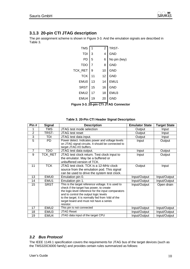

### **3.1.3 20-pin CTI JTAG description**

The pin assignment scheme is shown in Figure 3-3. And the emulation signals are described in Table 3.

| <b>TMS</b>       | 1  | $\overline{2}$ | TRST-        |
|------------------|----|----------------|--------------|
| TDI              | 3  | 4              | <b>GND</b>   |
| PD               | 5  | 6              | No pin (key) |
| <b>TDO</b>       | 7  | 8              | <b>GND</b>   |
| TCK RET          | 9  | 10             | <b>GND</b>   |
| <b>TCK</b>       | 11 | 12             | <b>GND</b>   |
| EMU0             | 13 | 14             | EMU1         |
| <b>SRST</b>      | 15 | 16             | <b>GND</b>   |
| EMU <sub>2</sub> | 17 | 18             | EMU3         |
| EMU4             | 19 | 20             | GND          |
|                  | nn | . .            |              |

**Figure 3-3. 20-pin CTI JTAG Connector** 

| Pin#           | Signal           | <b>Description</b>                                                                                                                                                                                                                                                                                            | <b>Emulator State</b> | <b>Target State</b> |
|----------------|------------------|---------------------------------------------------------------------------------------------------------------------------------------------------------------------------------------------------------------------------------------------------------------------------------------------------------------|-----------------------|---------------------|
|                | TMS              | JTAG test mode selection                                                                                                                                                                                                                                                                                      | Output                | Input               |
| $\overline{2}$ | TRST-            | <b>JTAG</b> test reset                                                                                                                                                                                                                                                                                        | Output                | Input               |
| 3              | TDI              | JTAG test data input.                                                                                                                                                                                                                                                                                         | Output                | Input               |
| 5              | <b>PD</b>        | Power detect. Indicates power and voltage levels<br>on JTAG signal circuits. It should be connected to<br>target JTAG I/O buffers.                                                                                                                                                                            | Input                 | Output              |
| $\overline{7}$ | <b>TDO</b>       | JTAG test data output.                                                                                                                                                                                                                                                                                        | Input                 | Output              |
| 9              | TCK RET          | JTAG test clock return. Test clock input to<br>the emulator. May be a buffered or<br>unbuffered version of TCK.                                                                                                                                                                                               | Input                 | Output              |
| 11             | <b>TCK</b>       | JTAG test clock. TCK is a 12-MHz clock<br>source from the emulation pod. This signal<br>can be used to drive the system test clock.                                                                                                                                                                           | Output                | Input               |
| 13             | EMU0             | Emulation pin 0.                                                                                                                                                                                                                                                                                              | Input/Output          | Input/Output        |
| 14             | EMU1             | Emulation pin 1.                                                                                                                                                                                                                                                                                              | Input/Output          | Input/Output        |
| 15             | <b>SRST</b>      | This is the target reference voltage. It is used to<br>check if the target has power, to create<br>the logic-level reference for the input comparators<br>and to control the output logic levels<br>to the target. It is normally fed from Vdd of the<br>target board and must not have a series<br>resistor. | Input/Output          | Open drain          |
| 17             | EMU <sub>2</sub> | This pin is not connected                                                                                                                                                                                                                                                                                     | Input/Output          | Input/Output        |
| 18             | EMU3             | <b>JTAG Reset</b>                                                                                                                                                                                                                                                                                             | Input/Output          | Input/Output        |
| 19             | EMU4             | JTAG data input of the target CPU                                                                                                                                                                                                                                                                             | Input/Output          | Input/Output        |

#### **Table 3. 20-Pin CTI Header Signal Description**

### *3.2 Bus Protocol*

The IEEE 1149.1 specification covers the requirements for JTAG bus of the target devices (such as the TMS320C6000 family) and provides certain rules summarized as follows: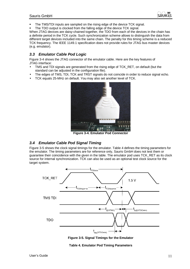

- ß The TMS/TDI inputs are sampled on the rising edge of the device TCK signal.
- The TDO output is clocked from the falling edge of the device TCK signal.

When JTAG devices are daisy-chained together, the TDO from each of the devices in the chain has a definite period in the TCK cycle. Such synchronization scheme allows to distinguish the data from different target devices included into the same chain. The penalty for this timing scheme is a reduced TCK frequency. The IEEE 1149.1 specification does not provide rules for JTAG bus master devices (e.g. emulator).

### *3.3 Emulator Cable Pod Logic*

Figure 3-4 shows the JTAG connector of the emulator cable. Here are the key features of JTAG interface:

- TMS and TDI signals are generated from the rising edge of TCK\_RET, on default (but the standard can be adjusted in the configuration file).
- The edges of TMS, TDI, TCK and TRST signals do not coincide in order to reduce signal echo.
- TCK equals 25-MHz on default. You may also set another level of TCK.



**Figure 3-4. Emulator Pod Connector** 

### *3.4 Emulator Cable Pod Signal Timing*

Figure 3-5 shows the clock signal timings for the emulator. Table 4 defines the timing parameters for the emulator. The timing parameters are for reference only, Sauris GmbH does not test them or guarantee their coincidence with the given in the table. The emulator pod uses TCK\_RET as its clock source for internal synchronization. TCK can also be used as an optional test clock source for the target system.



**Figure 3-5. Signal Timings for the Emulator** 

#### **Table 4. Emulator Pod Timing Parameters**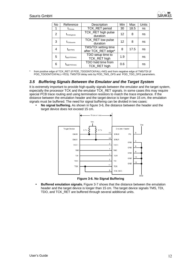

| No | Reference                                 | Description                                 | Min | Max  | Units |
|----|-------------------------------------------|---------------------------------------------|-----|------|-------|
| 1  | $t_{\text{\tiny{TCKmin}}}$                | TCK_RET period                              | 30  | 18.5 | ns    |
| 2  | $t_{\scriptscriptstyle\text{TCKhighmin}}$ | <b>TCK_RET high pulse</b><br>duration       | 12  | 8    | ns    |
| 3  | $t_{\scriptscriptstyle\text{TCKlowmin}}$  | TCK_RET low pulse<br>duration               | 12  | 8    | ns    |
| 4  | $t_{d(XTMX)}$                             | TMS/TDI setting time<br>after TCK_RET edge* | 8   | 17.5 | ns    |
| 5  | $\rm t_{\rm SU(XTDOMin)}$                 | TDO setup time to<br>TCK_RET high           | 1.9 |      | ns    |
| 6  | $t_{hd(XTDOMin)}$                         | TDO hold time from<br><b>TCK RET high</b>   | 0.6 |      | ns    |

from positive edge of TCK\_RET (if POD\_TDOONTCKFALL=NO) and from negative edge of TMS/TDI (if POD\_TDOONTCKFALL=YES). TMS/TDI delay sets by POD\_TMS\_OFS and POD\_TDO\_OFS parameters.

#### *3.5 Buffering Signals Between the Emulator and the Target System*

It is extremely important to provide high-quality signals between the emulator and the target system, especially the processor TCK and the emulator TCK\_RET signals. In some cases this may require special PCB trace routing and using termination resistors to match the trace impedance. If the distance between the emulation header and the target device is longer than 15 cm, the emulation signals must be buffered. The need for signal buffering can be divided in two cases:

• **No signal buffering.** As shown in figure 3-6, the distance between the header and the target device does not exceed 15 cm.



**Figure 3-6. No Signal Buffering** 

• **Buffered emulation signals.** Figure 3-7 shows that the distance between the emulation header and the target device is longer than 15 cm. The target device signals TMS, TDI, TDO, and TCK\_RET are buffered through several additional units.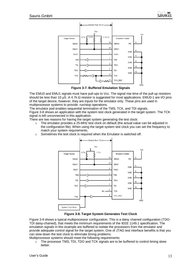

**Figure 3-7. Buffered Emulation Signals** 

The EMU0 and EMU1 signals must have pull-ups to Vcc. The signal rise time of the pull-up resistors should be less than 10 μS. A 4.7k Ω resistor is suggested for most applications. EMU0-1 are I/O pins of the target device, however, they are inputs for the emulator only. These pins are used in multiprocessor systems to provide run/stop operations.

The emulator pod enables sequential termination of the TMS, TCK, and TDI signals.

Figure 3-8 shows an application with the system test clock generated in the target system. The TCK signal is left unconnected in this application.

There are two reasons for having the target system generating the test clock:

- $\circ$  The emulator provides a 25-MHz test clock on default (the actual value can be adjusted in the configuration file). When using the target system test clock you can set the frequency to match your system requirements.
- Sometimes the test clock is required when the Emulator is switched off.



**Figure 3-8. Target System Generates Test Clock** 

Figure 3-9 shows a typical multiprocessor configuration. This is a daisy chained configuration (TDO-TDI daisy-chained), that meets the minimum requirements of the IEEE 1149.1 specification. The emulation signals in this example are buffered to isolate the processors from the emulator and provide adequate control signal for the target system. One of JTAG test interface benefits is that you can slow down the test clock to eliminate timing problems.

Multiprocessor systems should meet the following requirements:

 $\circ$  The processor TMS, TDI, TDO and TCK signals are to be buffered to control timing skew better.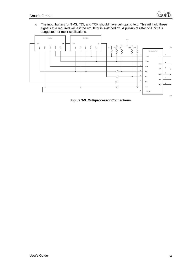o The input buffers for TMS, TDI, and TCK should have pull-ups to Vcc. This will hold these signals at a required value if the emulator is switched off. A pull-up resistor of 4.7k Ω is suggested for most applications.



**Figure 3-9. Multiprocessor Connections**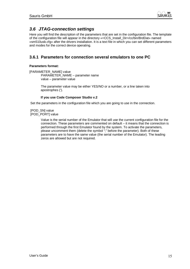

### *3.6 JTAG-connection settings*

Here you will find the description of the parameters that are set in the configuration file. The template of the configuration file will appear in the directory «<CCS\_Install\_Dir>/cc/bin/BrdDat» named «sm510usb.cfg» after the drivers installation. It is a text file in which you can set different parameters and modes for the correct device operating.

### **3.6.1 Parameters for connection several emulators to one PC**

#### **Parameters format:**

[PARAMETER\_NAME] value PARAMETER\_NAME – parameter name value – parameter value

> The parameter value may be either YES/NO or a number, or a line taken into apostrophes (').

#### **If you use Code Composer Studio v.2**

Set the parameters in the configuration file which you are going to use in the connection.

[POD\_SN] value [POD\_PORT] value

> Value is the serial number of the Emulator that will use the current configuration file for the connection. These parameters are commented on default – it means that the connection is performed through the first Emulator found by the system. To activate the parameters, please uncomment them (delete the symbol ";" before the parameter). Both of these parameters are to have the same value (the serial number of the Emulator). The leading zeros are allowed but are not required.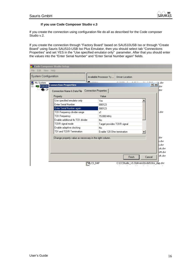#### **If you use Code Composer Studio v.3**

If you create the connection using configuration file do all as described for the Code composer Studio v.2.

If you create the connection through "Factory Board" based on SAU510USB Iso or through "Create Board" using Sauris SAU510-USB Iso Plus Emulator, then you should select tab "Connections Properties" and set YES in the "Use specified emulator only" parameter. After that you should enter the values into the "Enter Serial Number" and "Enter Serial Number again" fields.

| System Configuration<br>Available Processor Ty<br><b>Driver Location</b><br><b>A</b><br>$A = 1$<br>$-1$ $   +$<br>My System<br><b>Connection Properties</b><br>F28335<br>$\bullet$ CP<br>Connection Properties<br>Connection Name & Data File<br>Value<br>Property | $10<1$ man<br> ? | dvr<br>$\times$<br>ldvr<br>dvr               |
|--------------------------------------------------------------------------------------------------------------------------------------------------------------------------------------------------------------------------------------------------------------------|------------------|----------------------------------------------|
|                                                                                                                                                                                                                                                                    |                  |                                              |
|                                                                                                                                                                                                                                                                    |                  |                                              |
|                                                                                                                                                                                                                                                                    |                  |                                              |
|                                                                                                                                                                                                                                                                    |                  |                                              |
| Use specified emulator only<br>Yes                                                                                                                                                                                                                                 |                  |                                              |
| <b>Enter Serial Number</b><br>000123                                                                                                                                                                                                                               |                  |                                              |
| Enter Serial Number again<br>000123                                                                                                                                                                                                                                |                  |                                              |
| TCK Frequency divider range<br>x1                                                                                                                                                                                                                                  |                  | .dvr                                         |
| <b>TCK Frequency</b><br>15,000 MHz                                                                                                                                                                                                                                 |                  |                                              |
| Enable additional 4x TCK divider<br>No                                                                                                                                                                                                                             |                  |                                              |
| TCKR signal mode<br>Target provides TCKR signal                                                                                                                                                                                                                    |                  |                                              |
| Enable adaptive clocking<br>No                                                                                                                                                                                                                                     |                  |                                              |
| TDI and TCKR Termination<br>Enable 120 Ohm termination                                                                                                                                                                                                             |                  |                                              |
| Change property value as necessary in the right column.                                                                                                                                                                                                            |                  | ldvr<br>ls.dvr<br>s.dvr<br>kA.dvr<br>lxM.dvr |
| Finish                                                                                                                                                                                                                                                             | Cancel           | kR.dvr                                       |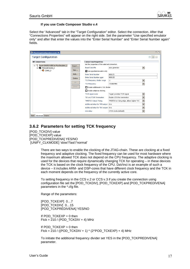#### **If you use Code Composer Studio v.4**

Select the "Advanced" tab in the "Target Configuration" editor. Select the connection. After that "Connections Properties" will appear on the right side. Set the parameter "Use specified emulator only" and after that enter the values into the "Enter Serial Number" and "Enter Serial Number again" fields.

| $\mathbf{H}$<br>霊<br><b>Target Configuration</b><br>E.<br><b>All Connections</b><br><b>Connection Properties</b><br>Set the properties of the selected connection.<br>T.<br>$\boxminus$<br>Sauris SAUS10-USB Iso Plus Emulator 1<br>Import<br>Board Data File<br>auto generate<br>$\blacktriangledown$<br>白· · TM5320F28235_0<br>New<br>$\bullet$ C2800_0<br>□ Use specified emulator only<br>Add<br><b>Enter Serial Number</b><br>000123<br>Enter Serial Number again<br>000123<br>Delete<br>TCK Frequency divider range<br>$\vert x1 \vert$<br>$\overline{\phantom{0}}$<br>Up.<br>15.000 MHz<br><b>TCK Frequency</b><br>$\overline{\phantom{0}}$<br><b>Down</b><br>Enable additional 4x TCK divider<br>Enable adaptive clocking<br>Target provides TCKR signal<br>TCKR signal mode<br>$\cdot$<br>Enable 120 Ohm termination<br>TDI and TCKR Termination<br>$\overline{\phantom{a}}$<br>TMS/TDO on rising edge, allows higher TCK<br>TMS/TDO Output Timing<br>$\overline{\phantom{0}}$<br>Additional delay for TMS output   0 ns<br>$\overline{\phantom{a}}$ | <b>R</b> *NewTargetConfiguration.ccxml X |  | 一日 |
|---------------------------------------------------------------------------------------------------------------------------------------------------------------------------------------------------------------------------------------------------------------------------------------------------------------------------------------------------------------------------------------------------------------------------------------------------------------------------------------------------------------------------------------------------------------------------------------------------------------------------------------------------------------------------------------------------------------------------------------------------------------------------------------------------------------------------------------------------------------------------------------------------------------------------------------------------------------------------------------------------------------------------------------------------------------|------------------------------------------|--|----|
|                                                                                                                                                                                                                                                                                                                                                                                                                                                                                                                                                                                                                                                                                                                                                                                                                                                                                                                                                                                                                                                               |                                          |  |    |
| Additional delay for TDO output   0 ns<br>$\overline{\phantom{a}}$<br>3 TCK clocks (default)<br>Link delay<br>$\blacktriangledown$                                                                                                                                                                                                                                                                                                                                                                                                                                                                                                                                                                                                                                                                                                                                                                                                                                                                                                                            |                                          |  |    |

### **3.6.2 Parameters for setting TCK frequency**

[POD\_TCKDIV] value [POD\_TCKEXP] value [POD\_TCKPREDIVENA] YES/NO [UNIFY\_CLKMODE] 'slow'/'fast'/'normal'

> There are two ways to enable the clocking of the JTAG-chain. These are clocking at a fixed frequency and adaptive clocking. The fixed frequency can be used for most hardware where the maximum allowed TCK does not depend on the CPU frequency. The adaptive clocking is used for the devices that require dynamically changing TCK for operating – in these devices the TCK is based on the clock frequency of the CPU. DaVinci is an example of such a device – it includes ARM- and DSP-cores that have different clock frequency and the TCK in each moment depends on the frequency of the currently active core.

To setting frequency in the CCS v.2 or CCS v.3 if you create the connection using configuration file set the [POD\_TCKDIV], [POD\_TCKEXP] and [POD\_TCKPREDIVENA] parameters in the \*.cfg file.

Range of the parameters:

[POD\_TCKEXP] 0…7 [POD\_TCKDIV] 0…15 [POD\_TCKPREDIVENA] YES/NO

If POD  $TCKEY = 0$  then  $F$ tck = 210 / (POD\_TCKDIV + 4) MHz

If POD  $TCKEXP > 0$  then Ftck = 210 / ((POD\_TCKDIV + 1) \* (2^POD\_TCKEXP) + 4) MHz

To initiate the additional frequency divider set YES in the [POD\_TCKPREDIVENA] parameter.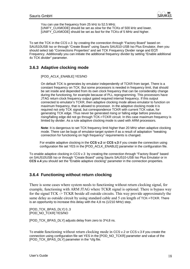You can use the frequency from 25 kHz to 52.5 MHz. [UNIFY\_CLKMODE] should be set as *slow* for the TCKs of 500 kHz and lower. [UNIFY\_CLKMODE] should be set as *fast* for the TCKs of 5 MHz and higher.

To set the TCK in the CCS v.3 by creating the connection through "Factory Board" based on SAU510USB Iso or through "Create Board" using Sauris SAU510-USB Iso Plus Emulator, then you should select tab "Connections Properties" and set TCK Frequency Divider range and ЕСЛ Frequency. Additionally you can initiate the additional frequency divider by setting "Enable additional 4x TCK divider" parameter.

### **3.6.3 Adaptive clocking mode**

[POD\_ACLK\_ENABLE] YES/NO

On default TCK is generates by emulator independently of TCKR from target. There is a constant frequency on TCK. But some processors is needed in frequency limit, that should be set inside and depended from its own clock frequency that can be considerably change during the functioning, for example because of PLL reprogramming. This processors have JTAG return clock frequency output gated required internal frequency. If this output connected to emulator's TCKR, then adaptive clocking mode allows emulator to function on maximum frequency, that is allowed to processor. In the adaptive clocking mode it is required not only TCK signal, but correspondence TCKR with current TCK value, for generating TCK edge. Thus never be generated rising or falling edge before previous rising/falling edge did not go through TCK->TCKR circuit. In this case maximum frequency is limited by divider. As a rule adaptive clocking mode is used with ARM processors.

**Note**: It is dangerous to set TCK frequency limit higher than 20 MHz when adaptive clocking mode. There can be bugs of emulator-target system if as a result of adaptation "tweaking connection for functioning on high frequency" requirements is changed.

For enable adaptive clocking in the **CCS v.2** or **CCS v.3** if you create the connection using configuration file set YES in the [POD\_ACLK\_ENABLE] parameter in the configuration file.

To enable adaptive clocking in CCS v.3 by creating the connection through "Factory Board" based on SAU510USB Iso or through "Create Board" using Sauris SAU510-USB Iso Plus Emulator or in **CCS v.4** you should set the "Enable adaptive clocking" parameter in the connection properties.

### **3.6.4 Functioning without return clocking**

There is some cases where system needs to functioning without return clocking signal, for example, functioning with ARM JTAG where TCKR signal is optional. There is bypass way for the signal TCK -> TCKR beside all outside circuits. This way provide approximately the same delay as outside circuit by using standard cable and 5 cm length of TCK->TCKR. There is an opportunity to increase this delay with the 4,8 ns (1/210 MHz) step.

[POD\_TCK\_BPAS\_DLY] 0..3 [POD\_NO\_TCKR] YES/NO

[POD\_TCK\_BPAS\_DLY] adjusts delay from zero to 3\*4,8 ns.

To enable functioning without return clocking mode in CCS v.2 or CCS v.3 if you create the connection using configuration file set YES in the [POD\_NO\_TCKR] parameter and value of the [POD\_TCK\_BPAS\_DLY] parameter in the \*cfg file.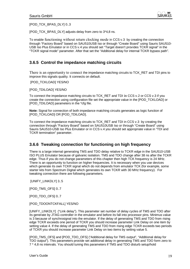[POD\_TCK\_BPAS\_DLY] 0..3

[POD\_TCK\_BPAS\_DLY] adjusts delay from zero to 3\*4,8 ns.

To enable functioning without return clocking mode in CCS v.3 by creating the connection through "Factory Board" based on SAU510USB Iso or through "Create Board" using Sauris SAU510- USB Iso Plus Emulator or in CCS v.4 you should set "Target doesn't provides TCKR signal" in the "TCKR signal mode" parameter. After that set the "Additional delay for internal TCKR bypass path".

### **3.6.5 Control the impedance matching circuits**

There is an opportunity to connect the impedance matching circuits to TCK\_RET and TDI pins to improve this signals quality. It connects on default.

[POD\_TCKLOAD] YES/NO

[POD\_TDILOAD] YES/NO

To connect the impedance matching circuits to TCK\_RET and TDI in CCS v.2 or CCS v.3 if you create the connection using configuration file set the appropriate value in the [POD\_TCKLOAD] or [POD\_TDILOAD] parameters in the \*cfg file.

**Note:** Signal for connection of both impedance matching circuits generates as logic function of [POD\_TCKLOAD] OR [POD\_TDILOAD].

To connect the impedance matching circuits to TCK\_RET and TDI in CCS v.3 by creating the connection through "Factory Board" based on SAU510USB Iso or through "Create Board" using Sauris SAU510-USB Iso Plus Emulator or in CCS v.4 you should set appropriate value in "TDI and TCKR termination" parameter.

### **3.6.6 Tweaking connection for functioning on high frequency**

There is a large internal generating TMS and TDO delay relative to TCKR edge in the SAU510-USB ISO PLUS Emulator because of galvanic isolation. TMS and TDO change after 38 ns after the TCKR edge. Thus if you do not change parameters of this chapter then high TCK frequency is 24 MHz. There is an opportunity to function on higher frequencies. It is necessary when you use devices which generate its own TCKR signal which do not depends from emulator TCK (for example, some starter kits from Spectrum Digital which generates its own TCKR with 30 MHz frequency). For tweaking connection there are following parameters.

[UNIFY\_LINKDLY] 3..5

[POD\_TMS\_OFS] 0..7

[POD\_TDO\_OFS] 0..7

[POD\_TDOONTCKFALL] YES/NO

[UNIFY\_LINKDLY] ("Link delay"). This parameter set number of delay cycles of TMS and TDO after its generate by JTAG-controller in the emulator and before its fall into processor pins. Minimus value is 3 because of synchrosignal into the emulator. If the delay of generating TMS and TDO from rising edge TCKR exceeds one period of TCKR you should increase parameter Link Delay on one item by setting value 4. If the delay of generating TMS and TDO from rising edge TCKR exceeds two periods of TCKR you should increase parameter Link Delay on two items by setting value 5.

[POD\_TMS\_OFS] and [POD\_TDO\_OFS] ("Additional delay for TMS output", "Additional delay for TDO output"). This parameters provide set additional delay in generating TMS and TDO form zero to 7 \* 4,8 ns intervals. You should tuning this parameters if TMS and TDO disturb setup/hold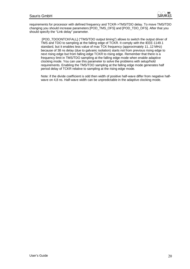

requirements for processor with defined frequency and TCKR->TMS/TDO delay. To move TMS/TDO changing you should increase parameters [POD\_TMS\_OFS] and [POD\_TDO\_OFS]. After that you should specify the "Link delay" parameter.

 [POD\_TDOONTCKFALL] ("TMS/TDO output timing") allows to switch the output driver of TMS and TDO to sampling at the falling edge of TCKR. It comply with the IEEE-1149.1 standard, but it enables less value of max TCK frequency (approximately 11..12 MHz) because of 38 ns delay (due to galvanic isolation) starts not from previous rising edge to next rising edge but from falling edge TCKR to rising edge. Remember that there is a frequency limit in TMS/TDO sampling at the falling edge mode when enable adaptive clocking mode. You can use this parameter to solve the problems with setup/hold requirements. Enabling the TMS/TDO sampling at the falling edge mode generates half period delay of TCKR relative to sampling at the rising edge mode.

Note: if the divide coefficient is odd then width of positive half-wave differ from negative halfwave on 4,8 ns. Half-wave width can be unpredictable in the adaptive clocking mode.